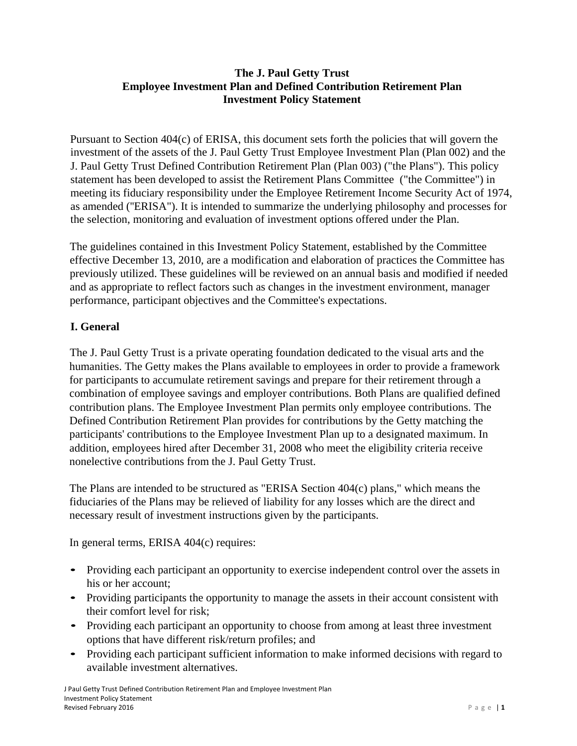# **The J. Paul Getty Trust Employee Investment Plan and Defined Contribution Retirement Plan Investment Policy Statement**

Pursuant to Section 404(c) of ERISA, this document sets forth the policies that will govern the investment of the assets of the J. Paul Getty Trust Employee Investment Plan (Plan 002) and the J. Paul Getty Trust Defined Contribution Retirement Plan (Plan 003) ("the Plans"). This policy statement has been developed to assist the Retirement Plans Committee ("the Committee") in meeting its fiduciary responsibility under the Employee Retirement Income Security Act of 1974, as amended (''ERISA"). It is intended to summarize the underlying philosophy and processes for the selection, monitoring and evaluation of investment options offered under the Plan.

The guidelines contained in this Investment Policy Statement, established by the Committee effective December 13, 2010, are a modification and elaboration of practices the Committee has previously utilized. These guidelines will be reviewed on an annual basis and modified if needed and as appropriate to reflect factors such as changes in the investment environment, manager performance, participant objectives and the Committee's expectations.

# **I. General**

The J. Paul Getty Trust is a private operating foundation dedicated to the visual arts and the humanities. The Getty makes the Plans available to employees in order to provide a framework for participants to accumulate retirement savings and prepare for their retirement through a combination of employee savings and employer contributions. Both Plans are qualified defined contribution plans. The Employee Investment Plan permits only employee contributions. The Defined Contribution Retirement Plan provides for contributions by the Getty matching the participants' contributions to the Employee Investment Plan up to a designated maximum. In addition, employees hired after December 31, 2008 who meet the eligibility criteria receive nonelective contributions from the J. Paul Getty Trust.

The Plans are intended to be structured as "ERISA Section 404(c) plans," which means the fiduciaries of the Plans may be relieved of liability for any losses which are the direct and necessary result of investment instructions given by the participants.

In general terms, ERISA 404(c) requires:

- Providing each participant an opportunity to exercise independent control over the assets in his or her account;
- Providing participants the opportunity to manage the assets in their account consistent with their comfort level for risk;
- Providing each participant an opportunity to choose from among at least three investment options that have different risk/return profiles; and
- Providing each participant sufficient information to make informed decisions with regard to available investment alternatives.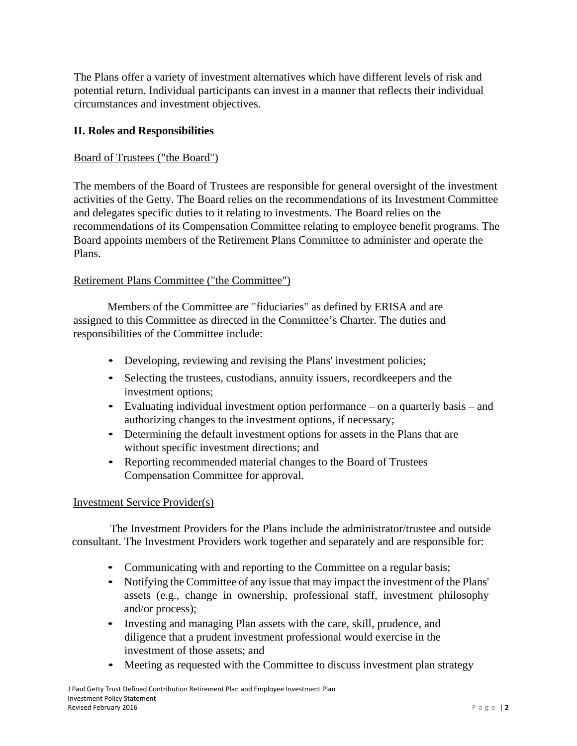The Plans offer a variety of investment alternatives which have different levels of risk and potential return. Individual participants can invest in a manner that reflects their individual circumstances and investment objectives.

## **II. Roles and Responsibilities**

#### Board of Trustees ("the Board")

The members of the Board of Trustees are responsible for general oversight of the investment activities of the Getty. The Board relies on the recommendations of its Investment Committee and delegates specific duties to it relating to investments. The Board relies on the recommendations of its Compensation Committee relating to employee benefit programs. The Board appoints members of the Retirement Plans Committee to administer and operate the Plans.

#### Retirement Plans Committee ("the Committee")

Members of the Committee are "fiduciaries" as defined by ERISA and are assigned to this Committee as directed in the Committee's Charter. The duties and responsibilities of the Committee include:

- Developing, reviewing and revising the Plans' investment policies;
- Selecting the trustees, custodians, annuity issuers, recordkeepers and the investment options;
- Evaluating individual investment option performance on a quarterly basis and authorizing changes to the investment options, if necessary;
- Determining the default investment options for assets in the Plans that are without specific investment directions; and
- Reporting recommended material changes to the Board of Trustees Compensation Committee for approval.

#### Investment Service Provider(s)

The Investment Providers for the Plans include the administrator/trustee and outside consultant. The Investment Providers work together and separately and are responsible for:

- Communicating with and reporting to the Committee on a regular basis;
- Notifying the Committee of any issue that may impact the investment of the Plans' assets (e.g., change in ownership, professional staff, investment philosophy and/or process);
- Investing and managing Plan assets with the care, skill, prudence, and diligence that a prudent investment professional would exercise in the investment of those assets; and
- Meeting as requested with the Committee to discuss investment plan strategy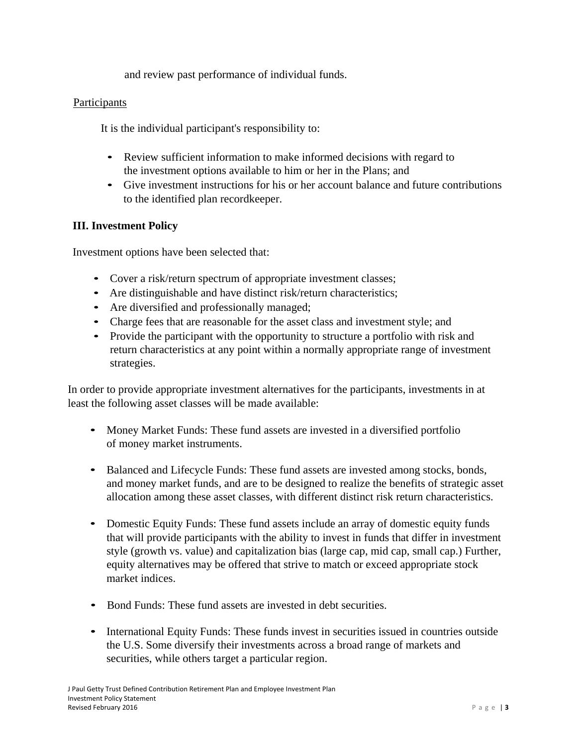and review past performance of individual funds.

## Participants

It is the individual participant's responsibility to:

- Review sufficient information to make informed decisions with regard to the investment options available to him or her in the Plans; and
- Give investment instructions for his or her account balance and future contributions to the identified plan recordkeeper.

# **III. Investment Policy**

Investment options have been selected that:

- Cover a risk/return spectrum of appropriate investment classes;
- Are distinguishable and have distinct risk/return characteristics;
- Are diversified and professionally managed;
- Charge fees that are reasonable for the asset class and investment style; and
- Provide the participant with the opportunity to structure a portfolio with risk and return characteristics at any point within a normally appropriate range of investment strategies.

In order to provide appropriate investment alternatives for the participants, investments in at least the following asset classes will be made available:

- Money Market Funds: These fund assets are invested in a diversified portfolio of money market instruments.
- Balanced and Lifecycle Funds: These fund assets are invested among stocks, bonds, and money market funds, and are to be designed to realize the benefits of strategic asset allocation among these asset classes, with different distinct risk return characteristics.
- Domestic Equity Funds: These fund assets include an array of domestic equity funds that will provide participants with the ability to invest in funds that differ in investment style (growth vs. value) and capitalization bias (large cap, mid cap, small cap.) Further, equity alternatives may be offered that strive to match or exceed appropriate stock market indices.
- Bond Funds: These fund assets are invested in debt securities.
- International Equity Funds: These funds invest in securities issued in countries outside the U.S. Some diversify their investments across a broad range of markets and securities, while others target a particular region.